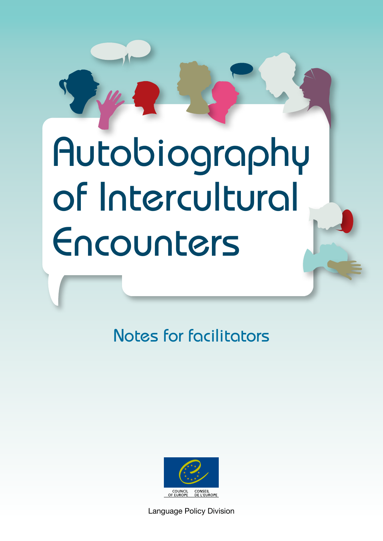## Autobiography of Intercultural Encounters

Notes for facilitators



Language Policy Division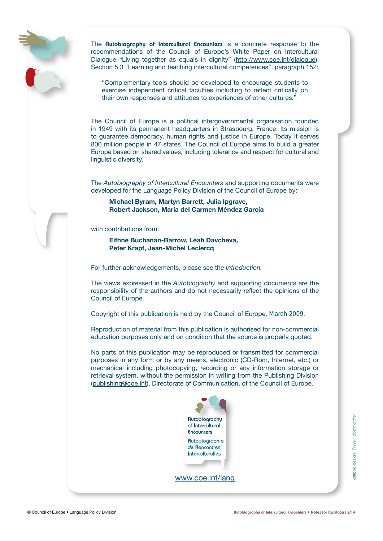

The Autobiography of Intercultural Encounters is a concrete response to the recommendations of the Council of Europe's White Paper on Intercultural Dialogue "Living together as equals in dignity" [\(http://www.coe.int/dialogue\)](http://www.coe.int/dialogue), Section 5.3 "Learning and teaching intercultural competences", paragraph 152:

"Complementary tools should be developed to encourage students to exercise independent critical faculties including to reflect critically on their own responses and attitudes to experiences of other cultures."

The Council of Europe is a political intergovernmental organisation founded in 1949 with its permanent headquarters in Strasbourg, France. Its mission is to guarantee democracy, human rights and justice in Europe. Today it serves 800 million people in 47 states. The Council of Europe aims to build a greater Europe based on shared values, including tolerance and respect for cultural and linguistic diversity.

The *Autobiography of Intercultural Encounters* and supporting documents were developed for the Language Policy Division of the Council of Europe by:

**Michael Byram, Martyn Barrett, Julia Ipgrave, Robert Jackson, María del Carmen Méndez García**

with contributions from:

**Eithne Buchanan-Barrow, Leah Davcheva, Peter Krapf, Jean-Michel Leclercq**

For further acknowledgements, please see the *Introduction.*

The views expressed in the *Autobiography* and supporting documents are the responsibility of the authors and do not necessarily reflect the opinions of the Council of Europe.

Copyright of this publication is held by the Council of Europe, March 2009.

Reproduction of material from this publication is authorised for non-commercial education purposes only and on condition that the source is properly quoted.

No parts of this publication may be reproduced or transmitted for commercial purposes in any form or by any means, electronic (CD-Rom, Internet, etc.) or mechanical including photocopying, recording or any information storage or retrieval system, without the permission in writing from the Publishing Division [\(publishing@coe.int\),](mailto:publishing@coe.int) Directorate of Communication, of the Council of Europe.



<www.coe.int/lang>